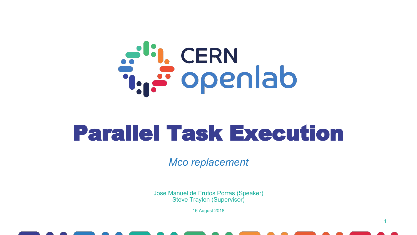

# Parallel Task Execution

*Mco replacement*

Jose Manuel de Frutos Porras (Speaker) Steve Traylen (Supervisor)

16 August 2018

1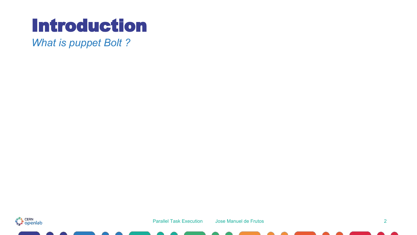*What is puppet Bolt ?*

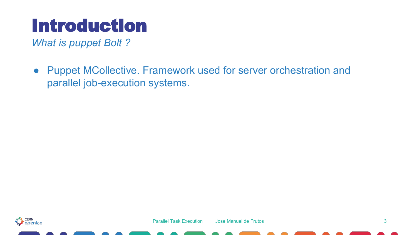*What is puppet Bolt ?*

● Puppet MCollective. Framework used for server orchestration and parallel job-execution systems.

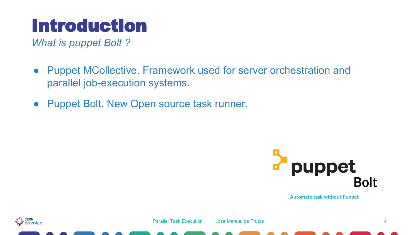*What is puppet Bolt ?*

- Puppet MCollective. Framework used for server orchestration and parallel job-execution systems.
- Puppet Bolt. New Open source task runner.



**Automate task without Puppet** 



Parallel Task Execution Jose Manuel de Frutos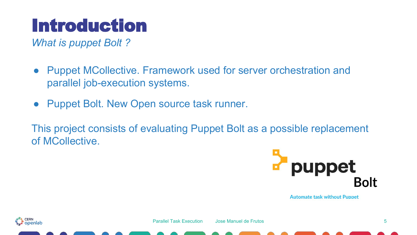*What is puppet Bolt ?*

- Puppet MCollective. Framework used for server orchestration and parallel job-execution systems.
- Puppet Bolt. New Open source task runner.

This project consists of evaluating Puppet Bolt as a possible replacement of MCollective.



**Automate task without Puppet** 

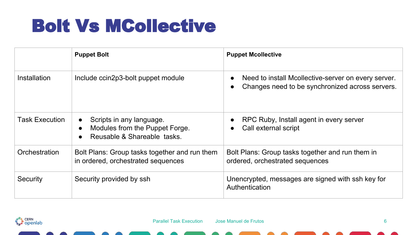#### Bolt Vs MCollective

|                       | <b>Puppet Bolt</b>                                                                        | <b>Puppet Mcollective</b>                                                                              |
|-----------------------|-------------------------------------------------------------------------------------------|--------------------------------------------------------------------------------------------------------|
| Installation          | Include ccin2p3-bolt puppet module                                                        | Need to install Mcollective-server on every server.<br>Changes need to be synchronized across servers. |
| <b>Task Execution</b> | Scripts in any language.<br>Modules from the Puppet Forge.<br>Reusable & Shareable tasks. | RPC Ruby, Install agent in every server<br>Call external script                                        |
| Orchestration         | Bolt Plans: Group tasks together and run them<br>in ordered, orchestrated sequences       | Bolt Plans: Group tasks together and run them in<br>ordered, orchestrated sequences                    |
| Security              | Security provided by ssh                                                                  | Unencrypted, messages are signed with ssh key for<br>Authentication                                    |

a<sup>rti</sup>l, CERN<br>T<sub>ur</sub> Popenlab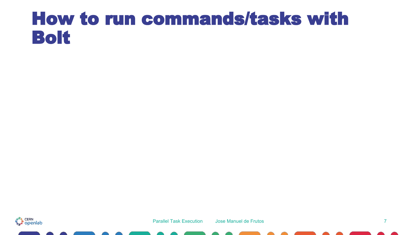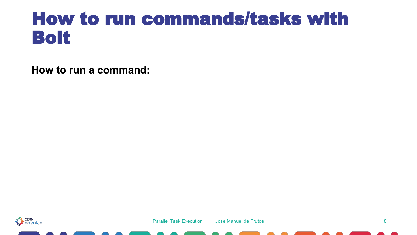**How to run a command:**

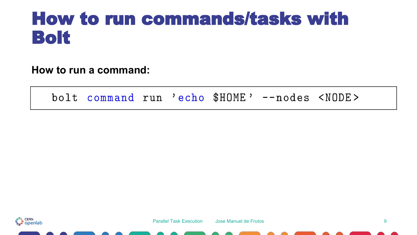**How to run a command:**

bolt command run 'echo \$HOME' --nodes <NODE>

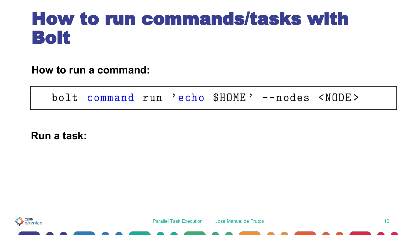**How to run a command:**

bolt command run 'echo \$HOME' --nodes <NODE>

**Run a task:**

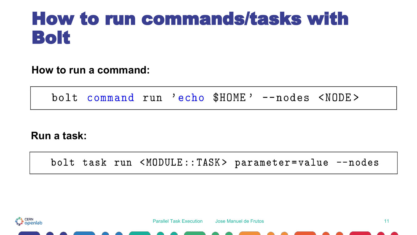**How to run a command:**

bolt command run 'echo \$HOME' --nodes <NODE>

**Run a task:**

bolt task run <MODULE::TASK> parameter=value --nodes

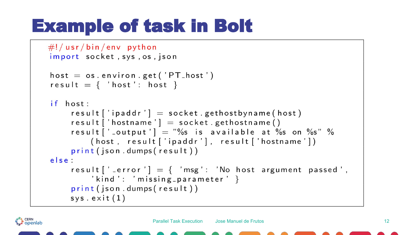### Example of task in Bolt

```
\#!/usr/bin/env python
import socket, sys, os, json
host = os. environ.get ('PT\_host')
result = \{ 'host': host \}if host:
    result ['ipaddr'] = socket.gethostbyname(host)
    result ['hostname'] = socket . gethostname ()
    result ['_output'] = "%s is available at %s on %s" %
        (host, result ['ipaddr'], result ['hostname'])
    print(json.dumps(result))else:
    result [' _error '] = \{ 'msg': 'No host argument passed',
         'kind': 'missing_parameter' }
    print (json.dumps(result))
    sys. exit (1)
```
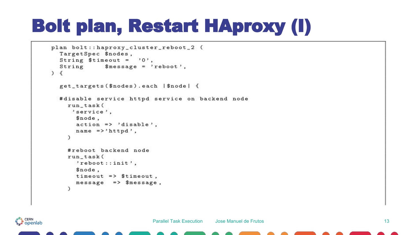# Bolt plan, Restart HAproxy (I)

```
plan bolt::haproxy_cluster_reboot_2 (
  TargetSpec $nodes,
  String $timeout = '0',String $message = 'reboot',\left( \begin{array}{c} 1 \end{array} \right)get_targets($nodes).each |$node| {
  #disable service httpd service on backend node
    run task (
     'service'.
       $node.
       action => 'disable'.
       name \Rightarrow'httpd',
    \lambda#reboot backend node
    run_task(
       'reboot::init',
       $node,
       timeout \Rightarrow $timeout,
       message => smessage,
    \lambda
```
a<sup>th</sup>i, CERN<br>T<sub>ur</sub> Openlab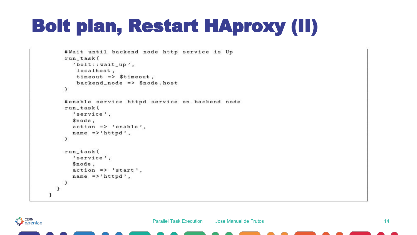# Bolt plan, Restart HAproxy (II)

```
#Wait until backend node http service is Up
    run_task(
       'bolt::wait_up',
        localhost,
        timeout => $timeout,
        backend_node => $node.host
    \mathcal{L}#enable service httpd service on backend node
    run_task(
       'service',
       $node.
       action \Rightarrow 'enable',
       name \Rightarrow'httpd',
    \mathcal{L}run_task(
       'service',
       $node,
       action \Rightarrow 'start',name \Rightarrow'httpd',
    €
  \mathcal{F}}
```
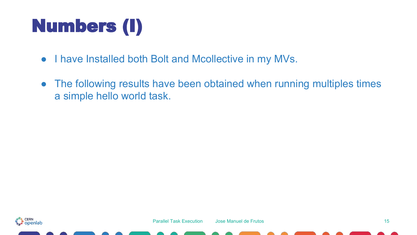# Numbers (I)

- I have Installed both Bolt and Mcollective in my MVs.
- The following results have been obtained when running multiples times a simple hello world task.

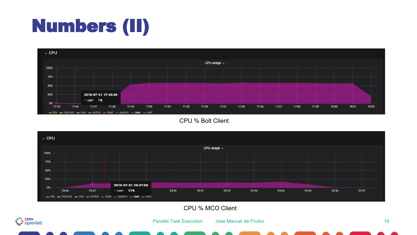# Numbers (II)



CPU % Bolt Client



CPU % MCO Client



Parallel Task Execution Jose Manuel de Frutos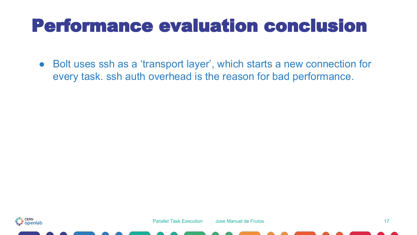#### Performance evaluation conclusion

● Bolt uses ssh as a 'transport layer', which starts a new connection for every task. ssh auth overhead is the reason for bad performance.

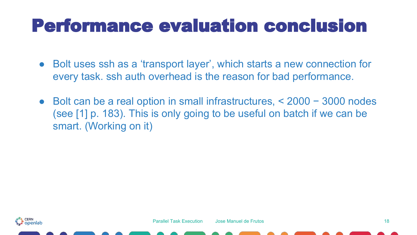#### Performance evaluation conclusion

- Bolt uses ssh as a 'transport layer', which starts a new connection for every task. ssh auth overhead is the reason for bad performance.
- Bolt can be a real option in small infrastructures, < 2000 − 3000 nodes (see [1] p. 183). This is only going to be useful on batch if we can be smart. (Working on it)

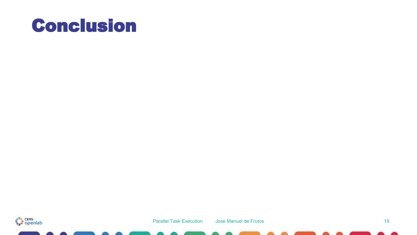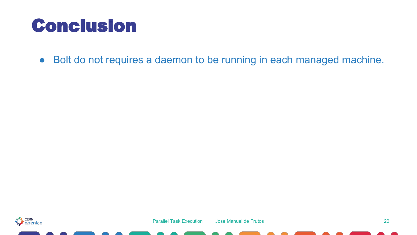● Bolt do not requires a daemon to be running in each managed machine.

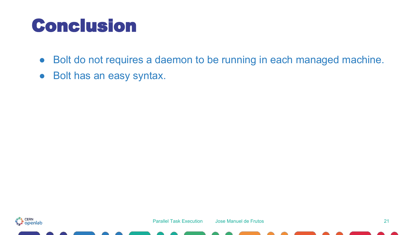- Bolt do not requires a daemon to be running in each managed machine.
- Bolt has an easy syntax.

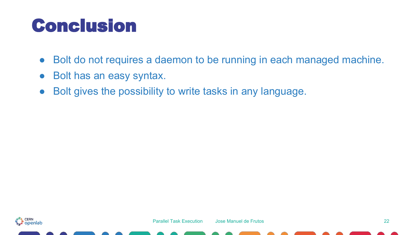- Bolt do not requires a daemon to be running in each managed machine.
- Bolt has an easy syntax.
- Bolt gives the possibility to write tasks in any language.

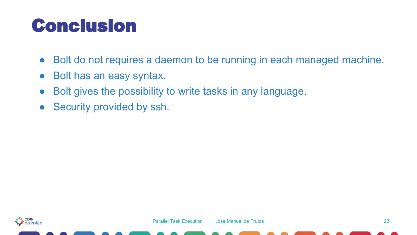- Bolt do not requires a daemon to be running in each managed machine.
- Bolt has an easy syntax.
- Bolt gives the possibility to write tasks in any language.
- Security provided by ssh.

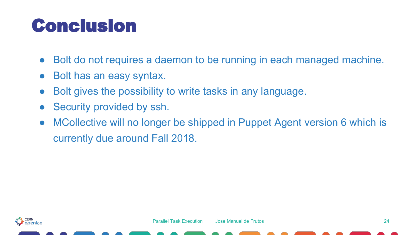- Bolt do not requires a daemon to be running in each managed machine.
- Bolt has an easy syntax.
- Bolt gives the possibility to write tasks in any language.
- Security provided by ssh.
- MCollective will no longer be shipped in Puppet Agent version 6 which is currently due around Fall 2018.

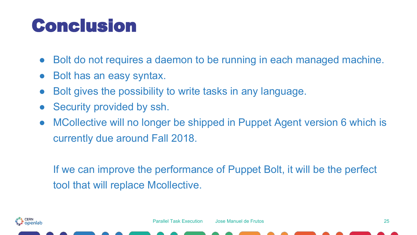- Bolt do not requires a daemon to be running in each managed machine.
- Bolt has an easy syntax.
- Bolt gives the possibility to write tasks in any language.
- Security provided by ssh.
- MCollective will no longer be shipped in Puppet Agent version 6 which is currently due around Fall 2018.

If we can improve the performance of Puppet Bolt, it will be the perfect tool that will replace Mcollective.

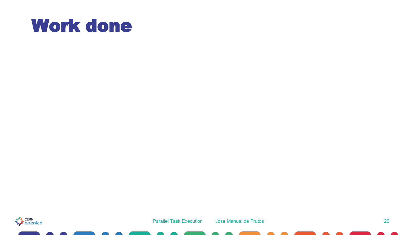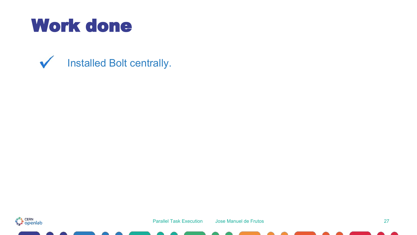Installed Bolt centrally.  $\checkmark$ 

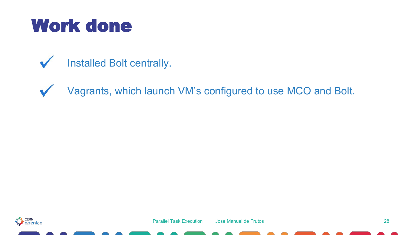#### Installed Bolt centrally.  $\checkmark$

Vagrants, which launch VM's configured to use MCO and Bolt.  $\checkmark$ 

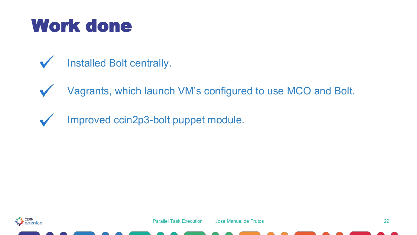- Installed Bolt centrally.  $\checkmark$
- Vagrants, which launch VM's configured to use MCO and Bolt.  $\checkmark$
- Improved ccin2p3-bolt puppet module. $\overline{\mathbf{v}}$

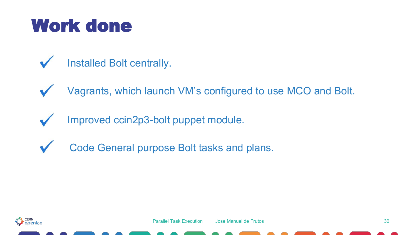- Installed Bolt centrally.  $\checkmark$
- Vagrants, which launch VM's configured to use MCO and Bolt.  $\sqrt{}$
- Improved ccin2p3-bolt puppet module.M
- Code General purpose Bolt tasks and plans.  $\sqrt{}$

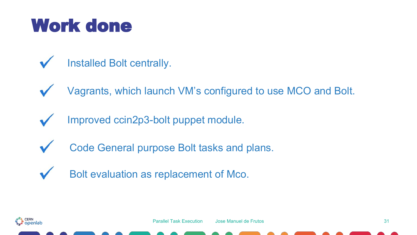- Installed Bolt centrally.  $\overline{\mathbf{v}}$
- Vagrants, which launch VM's configured to use MCO and Bolt.  $\sqrt{}$
- Improved ccin2p3-bolt puppet module.
- Code General purpose Bolt tasks and plans.  $\sqrt{}$
- Bolt evaluation as replacement of Mco. $\sqrt{}$

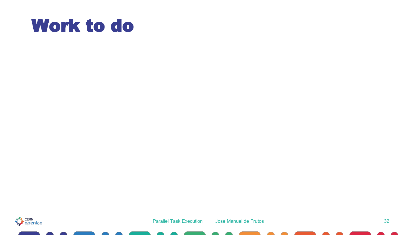#### Work to do

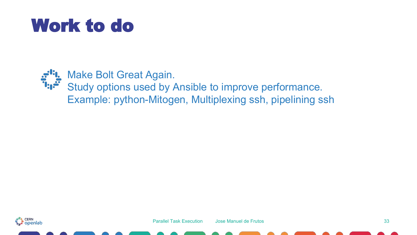#### Work to do



Make Bolt Great Again. Study options used by Ansible to improve performance. Example: python-Mitogen, Multiplexing ssh, pipelining ssh

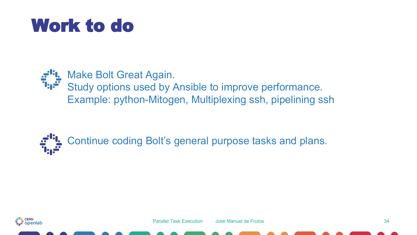### Work to do



Make Bolt Great Again. Study options used by Ansible to improve performance. Example: python-Mitogen, Multiplexing ssh, pipelining ssh



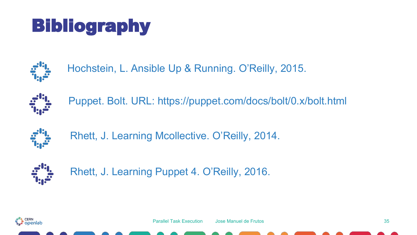# Bibliography



Hochstein, L. Ansible Up & Running. O'Reilly, 2015.



Puppet. Bolt. URL: https://puppet.com/docs/bolt/0.x/bolt.html



Rhett, J. Learning Mcollective. O'Reilly, 2014.



Rhett, J. Learning Puppet 4. O'Reilly, 2016.